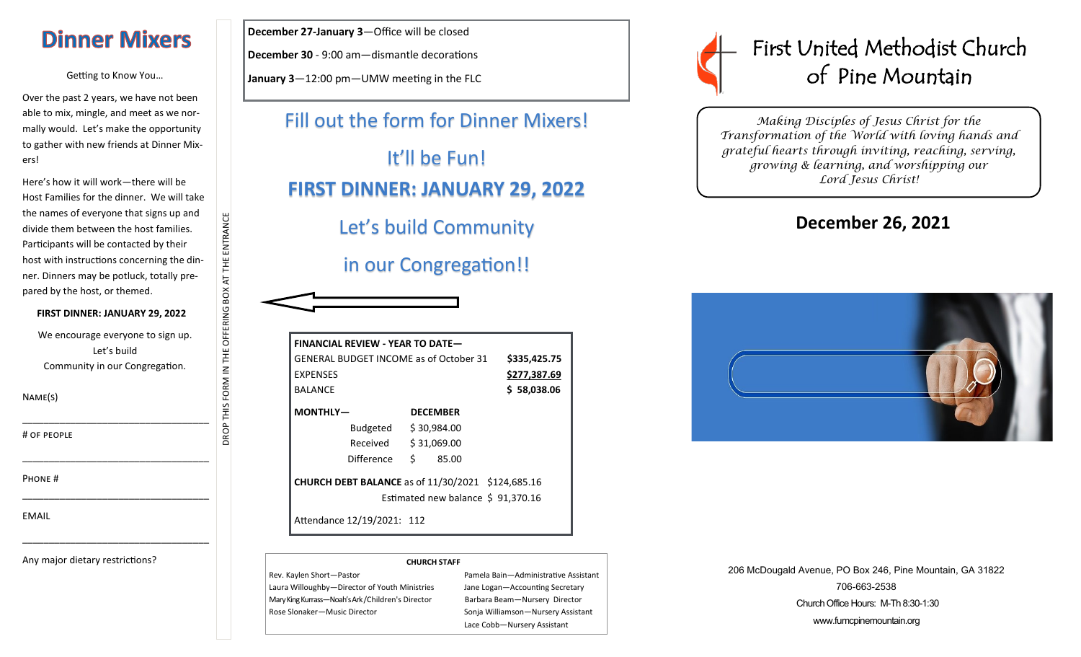# **Dinner Mixers**

Getting to Know You…

Over the past 2 years, we have not been able to mix, mingle, and meet as we normally would. Let's make the opportunity to gather with new friends at Dinner Mixers!

Here's how it will work—there will be Host Families for the dinner. We will take the names of everyone that signs up and divide them between the host families. Participants will be contacted by their host with instructions concerning the dinner. Dinners may be potluck, totally prepared by the host, or themed.

**FIRST DINNER: JANUARY 29, 2022**

We encourage everyone to sign up. Let's build Community in our Congregation.

\_\_\_\_\_\_\_\_\_\_\_\_\_\_\_\_\_\_\_\_\_\_\_\_\_\_\_\_\_\_\_\_\_\_\_

\_\_\_\_\_\_\_\_\_\_\_\_\_\_\_\_\_\_\_\_\_\_\_\_\_\_\_\_\_\_\_\_\_\_\_

\_\_\_\_\_\_\_\_\_\_\_\_\_\_\_\_\_\_\_\_\_\_\_\_\_\_\_\_\_\_\_\_\_\_\_

\_\_\_\_\_\_\_\_\_\_\_\_\_\_\_\_\_\_\_\_\_\_\_\_\_\_\_\_\_\_\_\_\_\_\_

DROP THIS FORM IN THE OFFERING BOX AT THE ENTRANCE

OROP THIS FORM IN THE OFFERING BOX AT THE ENTRANCE

Name(s)

# of people

Phone #

EMAIL

Any major dietary restrictions?

**December 27-January 3**—Office will be closed

**December 30** - 9:00 am—dismantle decorations

**January 3**—12:00 pm—UMW meeting in the FLC

Fill out the form for Dinner Mixers! It'll be Fun! **FIRST DINNER: JANUARY 29, 2022** Let's build Community

## in our Congregation!!

| <b>GENERAL BUDGET INCOME as of October 31</b> |                            |    |                                                          | \$335,425.75 |
|-----------------------------------------------|----------------------------|----|----------------------------------------------------------|--------------|
| <b>FXPFNSFS</b>                               |                            |    |                                                          | \$277,387.69 |
| <b>BALANCE</b>                                |                            |    |                                                          | \$58,038.06  |
| MONTHLY-                                      |                            |    | <b>DECEMBER</b>                                          |              |
|                                               | Budgeted \$30,984.00       |    |                                                          |              |
|                                               | Received                   |    | \$31,069.00                                              |              |
|                                               | Difference                 | Ś. | 85.00                                                    |              |
|                                               |                            |    | <b>CHURCH DEBT BALANCE</b> as of 11/30/2021 \$124,685.16 |              |
|                                               |                            |    | Estimated new balance \$91,370.16                        |              |
|                                               | Attendance 12/19/2021: 112 |    |                                                          |              |

#### **CHURCH STAFF**

Rev. Kaylen Short—Pastor Pamela Bain—Administrative Assistant Laura Willoughby-Director of Youth Ministries Jane Logan-Accounting Secretary Mary King Kurrass—Noah's Ark /Children's Director Barbara Beam—Nursery Director Rose Slonaker—Music Director Sonja Williamson—Nursery Assistant

Lace Cobb—Nursery Assistant



*Making Disciples of Jesus Christ for the Transformation of the World with loving hands and grateful hearts through inviting, reaching, serving, growing & learning, and worshipping our Lord Jesus Christ!* 

## **December 26, 2021**



206 McDougald Avenue, PO Box 246, Pine Mountain, GA 31822 706-663-2538 Church Office Hours: M-Th 8:30-1:30 www.fumcpinemountain.org